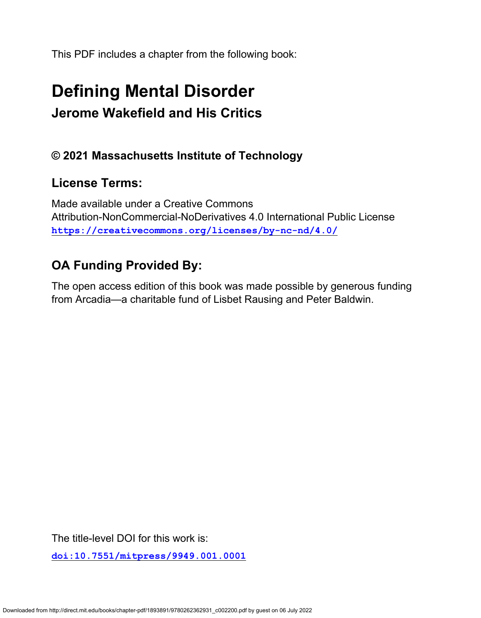This PDF includes a chapter from the following book:

# **Defining Mental Disorder Jerome Wakefield and His Critics**

### **© 2021 Massachusetts Institute of Technology**

## **License Terms:**

Made available under a Creative Commons Attribution-NonCommercial-NoDerivatives 4.0 International Public License **<https://creativecommons.org/licenses/by-nc-nd/4.0/>**

# **OA Funding Provided By:**

The open access edition of this book was made possible by generous funding from Arcadia—a charitable fund of Lisbet Rausing and Peter Baldwin.

The title-level DOI for this work is:

**[doi:10.7551/mitpress/9949.001.0001](https://doi.org/10.7551/mitpress/9949.001.0001)**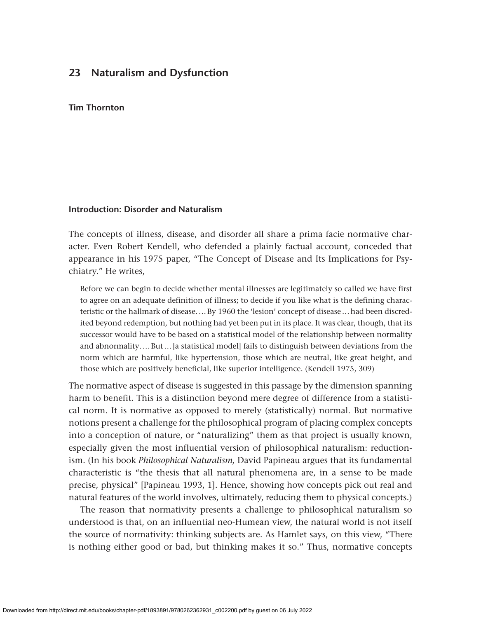### **23 Naturalism and Dysfunction**

#### **Tim Thornton**

#### **Introduction: Disorder and Naturalism**

The concepts of illness, disease, and disorder all share a prima facie normative character. Even Robert Kendell, who defended a plainly factual account, conceded that appearance in his 1975 paper, "The Concept of Disease and Its Implications for Psychiatry." He writes,

Before we can begin to decide whether mental illnesses are legitimately so called we have first to agree on an adequate definition of illness; to decide if you like what is the defining characteristic or the hallmark of disease.…By 1960 the 'lesion' concept of disease…had been discredited beyond redemption, but nothing had yet been put in its place. It was clear, though, that its successor would have to be based on a statistical model of the relationship between normality and abnormality.…But…[a statistical model] fails to distinguish between deviations from the norm which are harmful, like hypertension, those which are neutral, like great height, and those which are positively beneficial, like superior intelligence. (Kendell 1975, 309)

The normative aspect of disease is suggested in this passage by the dimension spanning harm to benefit. This is a distinction beyond mere degree of difference from a statistical norm. It is normative as opposed to merely (statistically) normal. But normative notions present a challenge for the philosophical program of placing complex concepts into a conception of nature, or "naturalizing" them as that project is usually known, especially given the most influential version of philosophical naturalism: reductionism. (In his book *Philosophical Naturalism,* David Papineau argues that its fundamental characteristic is "the thesis that all natural phenomena are, in a sense to be made precise, physical" [Papineau 1993, 1]. Hence, showing how concepts pick out real and natural features of the world involves, ultimately, reducing them to physical concepts.)

The reason that normativity presents a challenge to philosophical naturalism so understood is that, on an influential neo-Humean view, the natural world is not itself the source of normativity: thinking subjects are. As Hamlet says, on this view, "There is nothing either good or bad, but thinking makes it so." Thus, normative concepts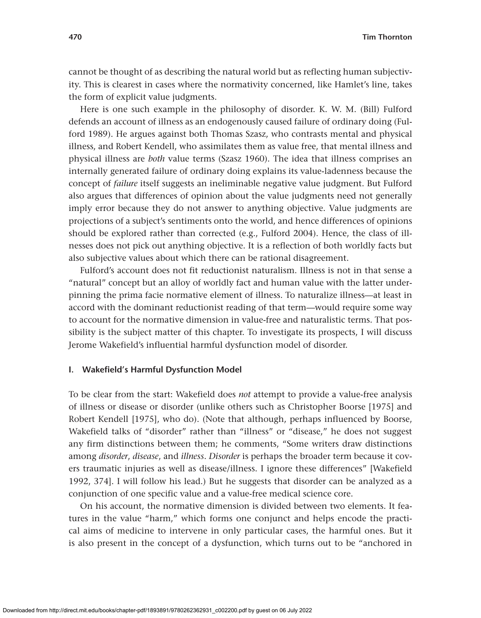cannot be thought of as describing the natural world but as reflecting human subjectivity. This is clearest in cases where the normativity concerned, like Hamlet's line, takes the form of explicit value judgments.

Here is one such example in the philosophy of disorder. K. W. M. (Bill) Fulford defends an account of illness as an endogenously caused failure of ordinary doing (Fulford 1989). He argues against both Thomas Szasz, who contrasts mental and physical illness, and Robert Kendell, who assimilates them as value free, that mental illness and physical illness are *both* value terms (Szasz 1960). The idea that illness comprises an internally generated failure of ordinary doing explains its value-ladenness because the concept of *failure* itself suggests an ineliminable negative value judgment. But Fulford also argues that differences of opinion about the value judgments need not generally imply error because they do not answer to anything objective. Value judgments are projections of a subject's sentiments onto the world, and hence differences of opinions should be explored rather than corrected (e.g., Fulford 2004). Hence, the class of illnesses does not pick out anything objective. It is a reflection of both worldly facts but also subjective values about which there can be rational disagreement.

Fulford's account does not fit reductionist naturalism. Illness is not in that sense a "natural" concept but an alloy of worldly fact and human value with the latter underpinning the prima facie normative element of illness. To naturalize illness—at least in accord with the dominant reductionist reading of that term—would require some way to account for the normative dimension in value-free and naturalistic terms. That possibility is the subject matter of this chapter. To investigate its prospects, I will discuss Jerome Wakefield's influential harmful dysfunction model of disorder.

#### **I. Wakefield's Harmful Dysfunction Model**

To be clear from the start: Wakefield does *not* attempt to provide a value-free analysis of illness or disease or disorder (unlike others such as Christopher Boorse [1975] and Robert Kendell [1975], who do). (Note that although, perhaps influenced by Boorse, Wakefield talks of "disorder" rather than "illness" or "disease," he does not suggest any firm distinctions between them; he comments, "Some writers draw distinctions among *disorder*, *disease*, and *illness*. *Disorder* is perhaps the broader term because it covers traumatic injuries as well as disease/illness. I ignore these differences" [Wakefield 1992, 374]. I will follow his lead.) But he suggests that disorder can be analyzed as a conjunction of one specific value and a value-free medical science core.

On his account, the normative dimension is divided between two elements. It features in the value "harm," which forms one conjunct and helps encode the practical aims of medicine to intervene in only particular cases, the harmful ones. But it is also present in the concept of a dysfunction, which turns out to be "anchored in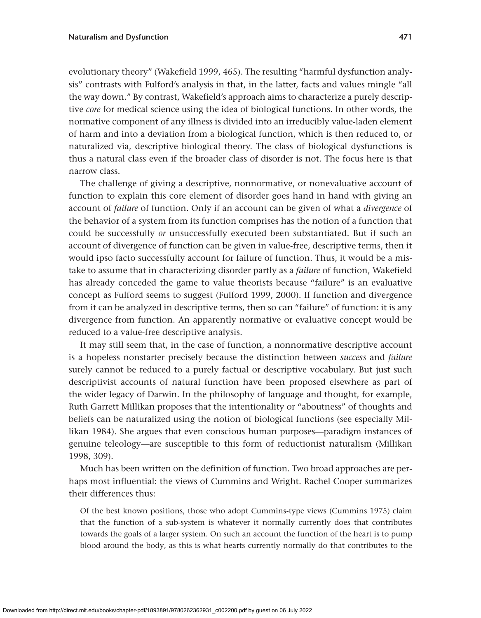evolutionary theory" (Wakefield 1999, 465). The resulting "harmful dysfunction analysis" contrasts with Fulford's analysis in that, in the latter, facts and values mingle "all the way down." By contrast, Wakefield's approach aims to characterize a purely descriptive *core* for medical science using the idea of biological functions. In other words, the normative component of any illness is divided into an irreducibly value-laden element of harm and into a deviation from a biological function, which is then reduced to, or naturalized via, descriptive biological theory. The class of biological dysfunctions is thus a natural class even if the broader class of disorder is not. The focus here is that narrow class.

The challenge of giving a descriptive, nonnormative, or nonevaluative account of function to explain this core element of disorder goes hand in hand with giving an account of *failure* of function. Only if an account can be given of what a *divergence* of the behavior of a system from its function comprises has the notion of a function that could be successfully *or* unsuccessfully executed been substantiated. But if such an account of divergence of function can be given in value-free, descriptive terms, then it would ipso facto successfully account for failure of function. Thus, it would be a mistake to assume that in characterizing disorder partly as a *failure* of function, Wakefield has already conceded the game to value theorists because "failure" is an evaluative concept as Fulford seems to suggest (Fulford 1999, 2000). If function and divergence from it can be analyzed in descriptive terms, then so can "failure" of function: it is any divergence from function. An apparently normative or evaluative concept would be reduced to a value-free descriptive analysis.

It may still seem that, in the case of function, a nonnormative descriptive account is a hopeless nonstarter precisely because the distinction between *success* and *failure* surely cannot be reduced to a purely factual or descriptive vocabulary. But just such descriptivist accounts of natural function have been proposed elsewhere as part of the wider legacy of Darwin. In the philosophy of language and thought, for example, Ruth Garrett Millikan proposes that the intentionality or "aboutness" of thoughts and beliefs can be naturalized using the notion of biological functions (see especially Millikan 1984). She argues that even conscious human purposes—paradigm instances of genuine teleology—are susceptible to this form of reductionist naturalism (Millikan 1998, 309).

Much has been written on the definition of function. Two broad approaches are perhaps most influential: the views of Cummins and Wright. Rachel Cooper summarizes their differences thus:

Of the best known positions, those who adopt Cummins-type views (Cummins 1975) claim that the function of a sub-system is whatever it normally currently does that contributes towards the goals of a larger system. On such an account the function of the heart is to pump blood around the body, as this is what hearts currently normally do that contributes to the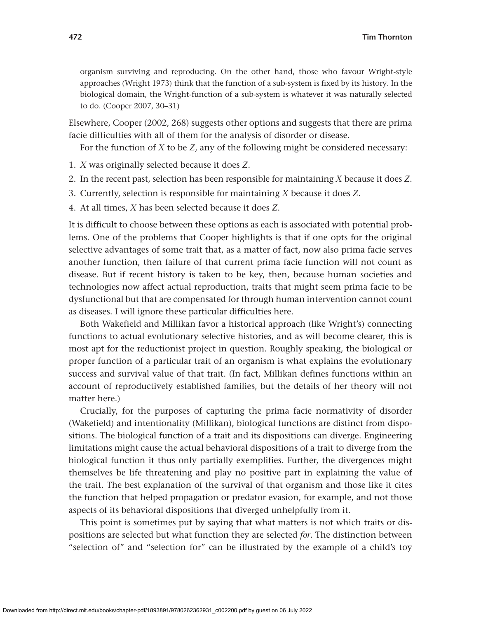organism surviving and reproducing. On the other hand, those who favour Wright-style approaches (Wright 1973) think that the function of a sub-system is fixed by its history. In the biological domain, the Wright-function of a sub-system is whatever it was naturally selected to do. (Cooper 2007, 30–31)

Elsewhere, Cooper (2002, 268) suggests other options and suggests that there are prima facie difficulties with all of them for the analysis of disorder or disease.

For the function of *X* to be *Z*, any of the following might be considered necessary:

- 1. *X* was originally selected because it does *Z*.
- 2. In the recent past, selection has been responsible for maintaining *X* because it does *Z*.
- 3. Currently, selection is responsible for maintaining *X* because it does *Z*.
- 4. At all times, *X* has been selected because it does *Z*.

It is difficult to choose between these options as each is associated with potential problems. One of the problems that Cooper highlights is that if one opts for the original selective advantages of some trait that, as a matter of fact, now also prima facie serves another function, then failure of that current prima facie function will not count as disease. But if recent history is taken to be key, then, because human societies and technologies now affect actual reproduction, traits that might seem prima facie to be dysfunctional but that are compensated for through human intervention cannot count as diseases. I will ignore these particular difficulties here.

Both Wakefield and Millikan favor a historical approach (like Wright's) connecting functions to actual evolutionary selective histories, and as will become clearer, this is most apt for the reductionist project in question. Roughly speaking, the biological or proper function of a particular trait of an organism is what explains the evolutionary success and survival value of that trait. (In fact, Millikan defines functions within an account of reproductively established families, but the details of her theory will not matter here.)

Crucially, for the purposes of capturing the prima facie normativity of disorder (Wakefield) and intentionality (Millikan), biological functions are distinct from dispositions. The biological function of a trait and its dispositions can diverge. Engineering limitations might cause the actual behavioral dispositions of a trait to diverge from the biological function it thus only partially exemplifies. Further, the divergences might themselves be life threatening and play no positive part in explaining the value of the trait. The best explanation of the survival of that organism and those like it cites the function that helped propagation or predator evasion, for example, and not those aspects of its behavioral dispositions that diverged unhelpfully from it.

This point is sometimes put by saying that what matters is not which traits or dispositions are selected but what function they are selected *for*. The distinction between "selection of" and "selection for" can be illustrated by the example of a child's toy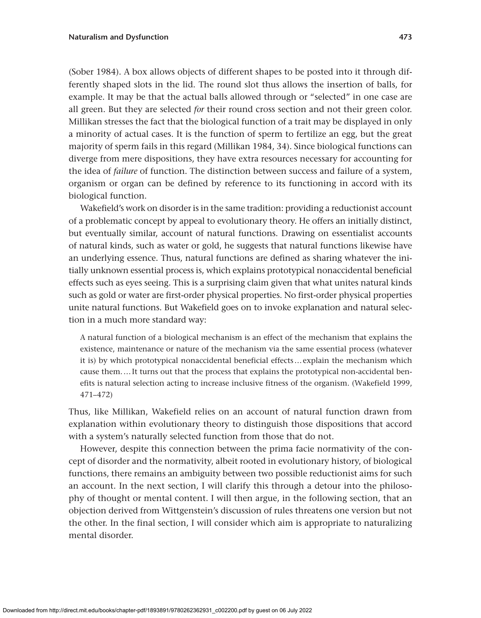(Sober 1984). A box allows objects of different shapes to be posted into it through differently shaped slots in the lid. The round slot thus allows the insertion of balls, for example. It may be that the actual balls allowed through or "selected" in one case are all green. But they are selected *for* their round cross section and not their green color. Millikan stresses the fact that the biological function of a trait may be displayed in only a minority of actual cases. It is the function of sperm to fertilize an egg, but the great majority of sperm fails in this regard (Millikan 1984, 34). Since biological functions can diverge from mere dispositions, they have extra resources necessary for accounting for the idea of *failure* of function. The distinction between success and failure of a system, organism or organ can be defined by reference to its functioning in accord with its biological function.

Wakefield's work on disorder is in the same tradition: providing a reductionist account of a problematic concept by appeal to evolutionary theory. He offers an initially distinct, but eventually similar, account of natural functions. Drawing on essentialist accounts of natural kinds, such as water or gold, he suggests that natural functions likewise have an underlying essence. Thus, natural functions are defined as sharing whatever the initially unknown essential process is, which explains prototypical nonaccidental beneficial effects such as eyes seeing. This is a surprising claim given that what unites natural kinds such as gold or water are first-order physical properties. No first-order physical properties unite natural functions. But Wakefield goes on to invoke explanation and natural selection in a much more standard way:

A natural function of a biological mechanism is an effect of the mechanism that explains the existence, maintenance or nature of the mechanism via the same essential process (whatever it is) by which prototypical nonaccidental beneficial effects…explain the mechanism which cause them.…It turns out that the process that explains the prototypical non-accidental benefits is natural selection acting to increase inclusive fitness of the organism. (Wakefield 1999, 471–472)

Thus, like Millikan, Wakefield relies on an account of natural function drawn from explanation within evolutionary theory to distinguish those dispositions that accord with a system's naturally selected function from those that do not.

However, despite this connection between the prima facie normativity of the concept of disorder and the normativity, albeit rooted in evolutionary history, of biological functions, there remains an ambiguity between two possible reductionist aims for such an account. In the next section, I will clarify this through a detour into the philosophy of thought or mental content. I will then argue, in the following section, that an objection derived from Wittgenstein's discussion of rules threatens one version but not the other. In the final section, I will consider which aim is appropriate to naturalizing mental disorder.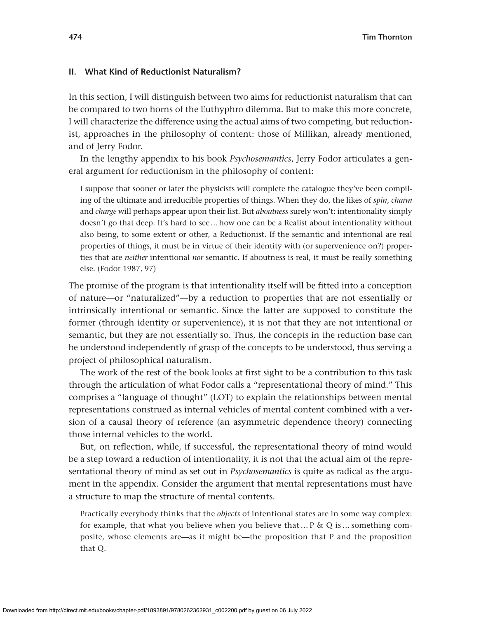#### **II. What Kind of Reductionist Naturalism?**

In this section, I will distinguish between two aims for reductionist naturalism that can be compared to two horns of the Euthyphro dilemma. But to make this more concrete, I will characterize the difference using the actual aims of two competing, but reductionist, approaches in the philosophy of content: those of Millikan, already mentioned, and of Jerry Fodor.

In the lengthy appendix to his book *Psychosemantics*, Jerry Fodor articulates a general argument for reductionism in the philosophy of content:

I suppose that sooner or later the physicists will complete the catalogue they've been compiling of the ultimate and irreducible properties of things. When they do, the likes of *spin*, *charm* and *charge* will perhaps appear upon their list. But *aboutness* surely won't; intentionality simply doesn't go that deep. It's hard to see…how one can be a Realist about intentionality without also being, to some extent or other, a Reductionist. If the semantic and intentional are real properties of things, it must be in virtue of their identity with (or supervenience on?) properties that are *neither* intentional *nor* semantic. If aboutness is real, it must be really something else. (Fodor 1987, 97)

The promise of the program is that intentionality itself will be fitted into a conception of nature—or "naturalized"—by a reduction to properties that are not essentially or intrinsically intentional or semantic. Since the latter are supposed to constitute the former (through identity or supervenience), it is not that they are not intentional or semantic, but they are not essentially so. Thus, the concepts in the reduction base can be understood independently of grasp of the concepts to be understood, thus serving a project of philosophical naturalism.

The work of the rest of the book looks at first sight to be a contribution to this task through the articulation of what Fodor calls a "representational theory of mind." This comprises a "language of thought" (LOT) to explain the relationships between mental representations construed as internal vehicles of mental content combined with a version of a causal theory of reference (an asymmetric dependence theory) connecting those internal vehicles to the world.

But, on reflection, while, if successful, the representational theory of mind would be a step toward a reduction of intentionality, it is not that the actual aim of the representational theory of mind as set out in *Psychosemantics* is quite as radical as the argument in the appendix. Consider the argument that mental representations must have a structure to map the structure of mental contents.

Practically everybody thinks that the *objects* of intentional states are in some way complex: for example, that what you believe when you believe that … P & Q is … something composite, whose elements are—as it might be—the proposition that P and the proposition that Q.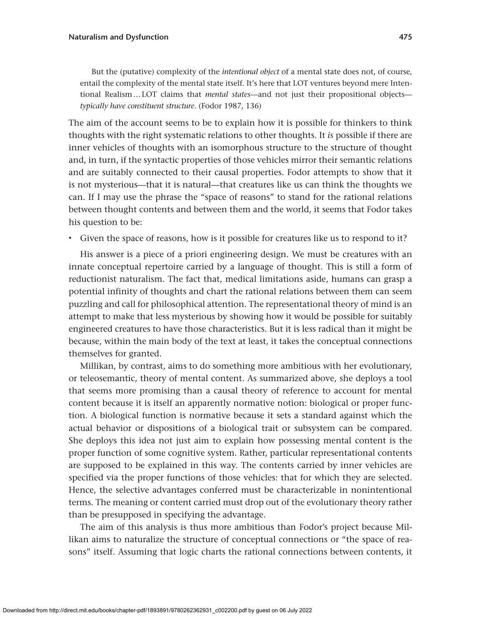But the (putative) complexity of the *intentional object* of a mental state does not, of course, entail the complexity of the mental state itself. It's here that LOT ventures beyond mere Intentional Realism…LOT claims that *mental states*—and not just their propositional objects *typically have constituent structure*. (Fodor 1987, 136)

The aim of the account seems to be to explain how it is possible for thinkers to think thoughts with the right systematic relations to other thoughts. It *is* possible if there are inner vehicles of thoughts with an isomorphous structure to the structure of thought and, in turn, if the syntactic properties of those vehicles mirror their semantic relations and are suitably connected to their causal properties. Fodor attempts to show that it is not mysterious—that it is natural—that creatures like us can think the thoughts we can. If I may use the phrase the "space of reasons" to stand for the rational relations between thought contents and between them and the world, it seems that Fodor takes his question to be:

• Given the space of reasons, how is it possible for creatures like us to respond to it?

His answer is a piece of a priori engineering design. We must be creatures with an innate conceptual repertoire carried by a language of thought. This is still a form of reductionist naturalism. The fact that, medical limitations aside, humans can grasp a potential infinity of thoughts and chart the rational relations between them can seem puzzling and call for philosophical attention. The representational theory of mind is an attempt to make that less mysterious by showing how it would be possible for suitably engineered creatures to have those characteristics. But it is less radical than it might be because, within the main body of the text at least, it takes the conceptual connections themselves for granted.

Millikan, by contrast, aims to do something more ambitious with her evolutionary, or teleosemantic, theory of mental content. As summarized above, she deploys a tool that seems more promising than a causal theory of reference to account for mental content because it is itself an apparently normative notion: biological or proper function. A biological function is normative because it sets a standard against which the actual behavior or dispositions of a biological trait or subsystem can be compared. She deploys this idea not just aim to explain how possessing mental content is the proper function of some cognitive system. Rather, particular representational contents are supposed to be explained in this way. The contents carried by inner vehicles are specified via the proper functions of those vehicles: that for which they are selected. Hence, the selective advantages conferred must be characterizable in nonintentional terms. The meaning or content carried must drop out of the evolutionary theory rather than be presupposed in specifying the advantage.

The aim of this analysis is thus more ambitious than Fodor's project because Millikan aims to naturalize the structure of conceptual connections or "the space of reasons" itself. Assuming that logic charts the rational connections between contents, it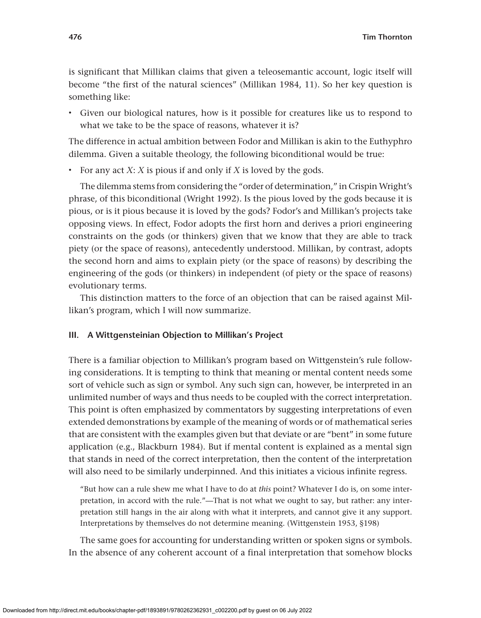is significant that Millikan claims that given a teleosemantic account, logic itself will become "the first of the natural sciences" (Millikan 1984, 11). So her key question is something like:

• Given our biological natures, how is it possible for creatures like us to respond to what we take to be the space of reasons, whatever it is?

The difference in actual ambition between Fodor and Millikan is akin to the Euthyphro dilemma. Given a suitable theology, the following biconditional would be true:

• For any act *X*: *X* is pious if and only if *X* is loved by the gods.

The dilemma stems from considering the "order of determination," in Crispin Wright's phrase, of this biconditional (Wright 1992). Is the pious loved by the gods because it is pious, or is it pious because it is loved by the gods? Fodor's and Millikan's projects take opposing views. In effect, Fodor adopts the first horn and derives a priori engineering constraints on the gods (or thinkers) given that we know that they are able to track piety (or the space of reasons), antecedently understood. Millikan, by contrast, adopts the second horn and aims to explain piety (or the space of reasons) by describing the engineering of the gods (or thinkers) in independent (of piety or the space of reasons) evolutionary terms.

This distinction matters to the force of an objection that can be raised against Millikan's program, which I will now summarize.

#### **III. A Wittgensteinian Objection to Millikan's Project**

There is a familiar objection to Millikan's program based on Wittgenstein's rule following considerations. It is tempting to think that meaning or mental content needs some sort of vehicle such as sign or symbol. Any such sign can, however, be interpreted in an unlimited number of ways and thus needs to be coupled with the correct interpretation. This point is often emphasized by commentators by suggesting interpretations of even extended demonstrations by example of the meaning of words or of mathematical series that are consistent with the examples given but that deviate or are "bent" in some future application (e.g., Blackburn 1984). But if mental content is explained as a mental sign that stands in need of the correct interpretation, then the content of the interpretation will also need to be similarly underpinned. And this initiates a vicious infinite regress.

"But how can a rule shew me what I have to do at *this* point? Whatever I do is, on some interpretation, in accord with the rule."—That is not what we ought to say, but rather: any interpretation still hangs in the air along with what it interprets, and cannot give it any support. Interpretations by themselves do not determine meaning. (Wittgenstein 1953, §198)

The same goes for accounting for understanding written or spoken signs or symbols. In the absence of any coherent account of a final interpretation that somehow blocks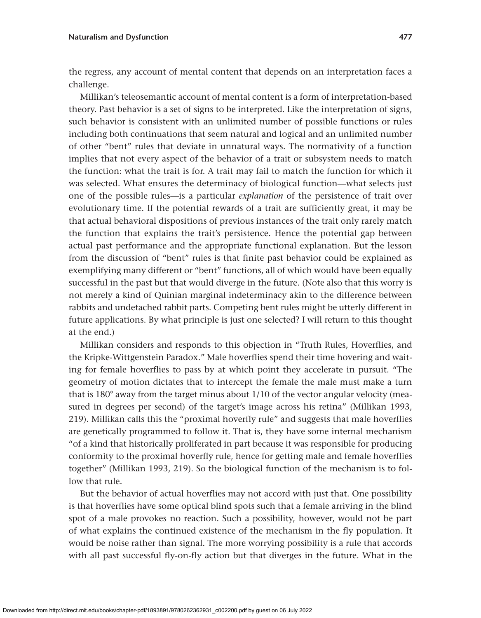the regress, any account of mental content that depends on an interpretation faces a challenge.

Millikan's teleosemantic account of mental content is a form of interpretation-based theory. Past behavior is a set of signs to be interpreted. Like the interpretation of signs, such behavior is consistent with an unlimited number of possible functions or rules including both continuations that seem natural and logical and an unlimited number of other "bent" rules that deviate in unnatural ways. The normativity of a function implies that not every aspect of the behavior of a trait or subsystem needs to match the function: what the trait is for. A trait may fail to match the function for which it was selected. What ensures the determinacy of biological function—what selects just one of the possible rules—is a particular *explanation* of the persistence of trait over evolutionary time. If the potential rewards of a trait are sufficiently great, it may be that actual behavioral dispositions of previous instances of the trait only rarely match the function that explains the trait's persistence. Hence the potential gap between actual past performance and the appropriate functional explanation. But the lesson from the discussion of "bent" rules is that finite past behavior could be explained as exemplifying many different or "bent" functions, all of which would have been equally successful in the past but that would diverge in the future. (Note also that this worry is not merely a kind of Quinian marginal indeterminacy akin to the difference between rabbits and undetached rabbit parts. Competing bent rules might be utterly different in future applications. By what principle is just one selected? I will return to this thought at the end.)

Millikan considers and responds to this objection in "Truth Rules, Hoverflies, and the Kripke-Wittgenstein Paradox." Male hoverflies spend their time hovering and waiting for female hoverflies to pass by at which point they accelerate in pursuit. "The geometry of motion dictates that to intercept the female the male must make a turn that is 180° away from the target minus about 1/10 of the vector angular velocity (measured in degrees per second) of the target's image across his retina" (Millikan 1993, 219). Millikan calls this the "proximal hoverfly rule" and suggests that male hoverflies are genetically programmed to follow it. That is, they have some internal mechanism "of a kind that historically proliferated in part because it was responsible for producing conformity to the proximal hoverfly rule, hence for getting male and female hoverflies together" (Millikan 1993, 219). So the biological function of the mechanism is to follow that rule.

But the behavior of actual hoverflies may not accord with just that. One possibility is that hoverflies have some optical blind spots such that a female arriving in the blind spot of a male provokes no reaction. Such a possibility, however, would not be part of what explains the continued existence of the mechanism in the fly population. It would be noise rather than signal. The more worrying possibility is a rule that accords with all past successful fly-on-fly action but that diverges in the future. What in the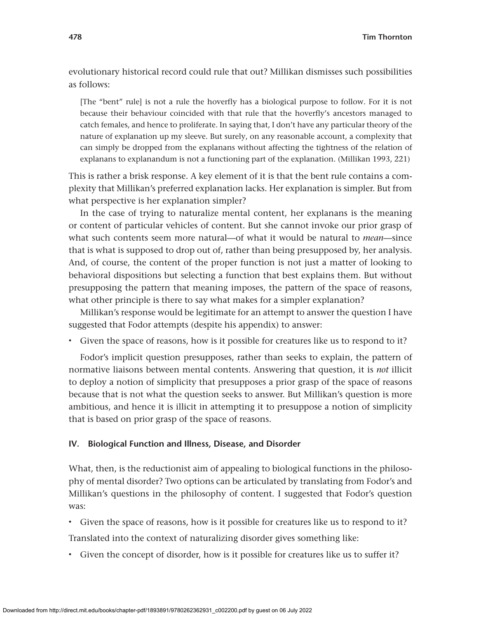evolutionary historical record could rule that out? Millikan dismisses such possibilities as follows:

[The "bent" rule] is not a rule the hoverfly has a biological purpose to follow. For it is not because their behaviour coincided with that rule that the hoverfly's ancestors managed to catch females, and hence to proliferate. In saying that, I don't have any particular theory of the nature of explanation up my sleeve. But surely, on any reasonable account, a complexity that can simply be dropped from the explanans without affecting the tightness of the relation of explanans to explanandum is not a functioning part of the explanation. (Millikan 1993, 221)

This is rather a brisk response. A key element of it is that the bent rule contains a complexity that Millikan's preferred explanation lacks. Her explanation is simpler. But from what perspective is her explanation simpler?

In the case of trying to naturalize mental content, her explanans is the meaning or content of particular vehicles of content. But she cannot invoke our prior grasp of what such contents seem more natural—of what it would be natural to *mean*—since that is what is supposed to drop out of, rather than being presupposed by, her analysis. And, of course, the content of the proper function is not just a matter of looking to behavioral dispositions but selecting a function that best explains them. But without presupposing the pattern that meaning imposes, the pattern of the space of reasons, what other principle is there to say what makes for a simpler explanation?

Millikan's response would be legitimate for an attempt to answer the question I have suggested that Fodor attempts (despite his appendix) to answer:

• Given the space of reasons, how is it possible for creatures like us to respond to it?

Fodor's implicit question presupposes, rather than seeks to explain, the pattern of normative liaisons between mental contents. Answering that question, it is *not* illicit to deploy a notion of simplicity that presupposes a prior grasp of the space of reasons because that is not what the question seeks to answer. But Millikan's question is more ambitious, and hence it is illicit in attempting it to presuppose a notion of simplicity that is based on prior grasp of the space of reasons.

#### **IV. Biological Function and Illness, Disease, and Disorder**

What, then, is the reductionist aim of appealing to biological functions in the philosophy of mental disorder? Two options can be articulated by translating from Fodor's and Millikan's questions in the philosophy of content. I suggested that Fodor's question was:

• Given the space of reasons, how is it possible for creatures like us to respond to it?

Translated into the context of naturalizing disorder gives something like:

• Given the concept of disorder, how is it possible for creatures like us to suffer it?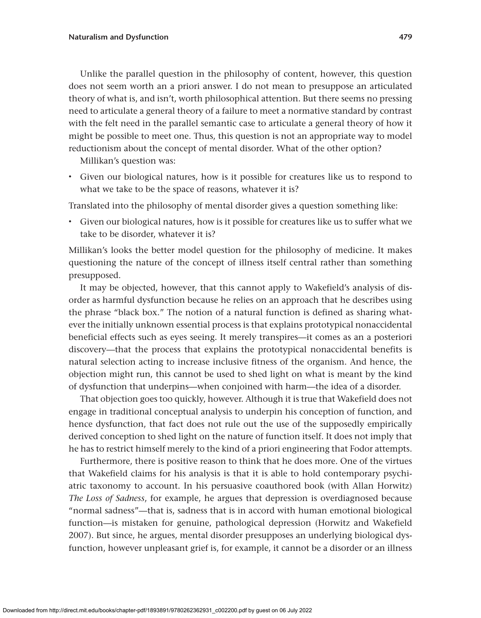Unlike the parallel question in the philosophy of content, however, this question does not seem worth an a priori answer. I do not mean to presuppose an articulated theory of what is, and isn't, worth philosophical attention. But there seems no pressing need to articulate a general theory of a failure to meet a normative standard by contrast with the felt need in the parallel semantic case to articulate a general theory of how it might be possible to meet one. Thus, this question is not an appropriate way to model reductionism about the concept of mental disorder. What of the other option?

Millikan's question was:

• Given our biological natures, how is it possible for creatures like us to respond to what we take to be the space of reasons, whatever it is?

Translated into the philosophy of mental disorder gives a question something like:

• Given our biological natures, how is it possible for creatures like us to suffer what we take to be disorder, whatever it is?

Millikan's looks the better model question for the philosophy of medicine. It makes questioning the nature of the concept of illness itself central rather than something presupposed.

It may be objected, however, that this cannot apply to Wakefield's analysis of disorder as harmful dysfunction because he relies on an approach that he describes using the phrase "black box." The notion of a natural function is defined as sharing whatever the initially unknown essential process is that explains prototypical nonaccidental beneficial effects such as eyes seeing. It merely transpires—it comes as an a posteriori discovery—that the process that explains the prototypical nonaccidental benefits is natural selection acting to increase inclusive fitness of the organism. And hence, the objection might run, this cannot be used to shed light on what is meant by the kind of dysfunction that underpins—when conjoined with harm—the idea of a disorder.

That objection goes too quickly, however. Although it is true that Wakefield does not engage in traditional conceptual analysis to underpin his conception of function, and hence dysfunction, that fact does not rule out the use of the supposedly empirically derived conception to shed light on the nature of function itself. It does not imply that he has to restrict himself merely to the kind of a priori engineering that Fodor attempts.

Furthermore, there is positive reason to think that he does more. One of the virtues that Wakefield claims for his analysis is that it is able to hold contemporary psychiatric taxonomy to account. In his persuasive coauthored book (with Allan Horwitz) *The Loss of Sadness*, for example, he argues that depression is overdiagnosed because "normal sadness"—that is, sadness that is in accord with human emotional biological function—is mistaken for genuine, pathological depression (Horwitz and Wakefield 2007). But since, he argues, mental disorder presupposes an underlying biological dysfunction, however unpleasant grief is, for example, it cannot be a disorder or an illness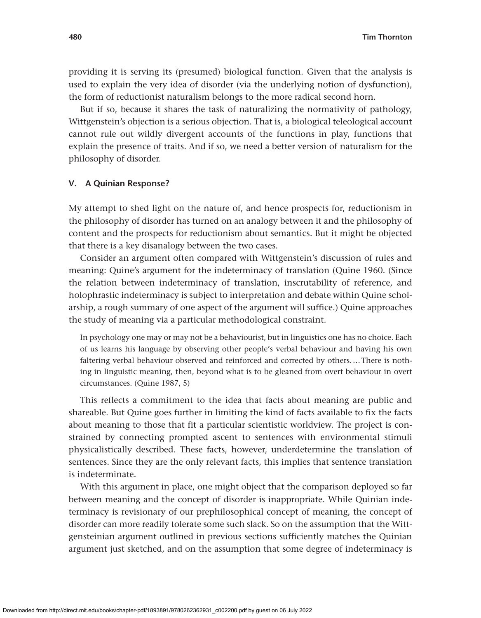providing it is serving its (presumed) biological function. Given that the analysis is used to explain the very idea of disorder (via the underlying notion of dysfunction), the form of reductionist naturalism belongs to the more radical second horn.

But if so, because it shares the task of naturalizing the normativity of pathology, Wittgenstein's objection is a serious objection. That is, a biological teleological account cannot rule out wildly divergent accounts of the functions in play, functions that explain the presence of traits. And if so, we need a better version of naturalism for the philosophy of disorder.

#### **V. A Quinian Response?**

My attempt to shed light on the nature of, and hence prospects for, reductionism in the philosophy of disorder has turned on an analogy between it and the philosophy of content and the prospects for reductionism about semantics. But it might be objected that there is a key disanalogy between the two cases.

Consider an argument often compared with Wittgenstein's discussion of rules and meaning: Quine's argument for the indeterminacy of translation (Quine 1960. (Since the relation between indeterminacy of translation, inscrutability of reference, and holophrastic indeterminacy is subject to interpretation and debate within Quine scholarship, a rough summary of one aspect of the argument will suffice.) Quine approaches the study of meaning via a particular methodological constraint.

In psychology one may or may not be a behaviourist, but in linguistics one has no choice. Each of us learns his language by observing other people's verbal behaviour and having his own faltering verbal behaviour observed and reinforced and corrected by others.…There is nothing in linguistic meaning, then, beyond what is to be gleaned from overt behaviour in overt circumstances. (Quine 1987, 5)

This reflects a commitment to the idea that facts about meaning are public and shareable. But Quine goes further in limiting the kind of facts available to fix the facts about meaning to those that fit a particular scientistic worldview. The project is constrained by connecting prompted ascent to sentences with environmental stimuli physicalistically described. These facts, however, underdetermine the translation of sentences. Since they are the only relevant facts, this implies that sentence translation is indeterminate.

With this argument in place, one might object that the comparison deployed so far between meaning and the concept of disorder is inappropriate. While Quinian indeterminacy is revisionary of our prephilosophical concept of meaning, the concept of disorder can more readily tolerate some such slack. So on the assumption that the Wittgensteinian argument outlined in previous sections sufficiently matches the Quinian argument just sketched, and on the assumption that some degree of indeterminacy is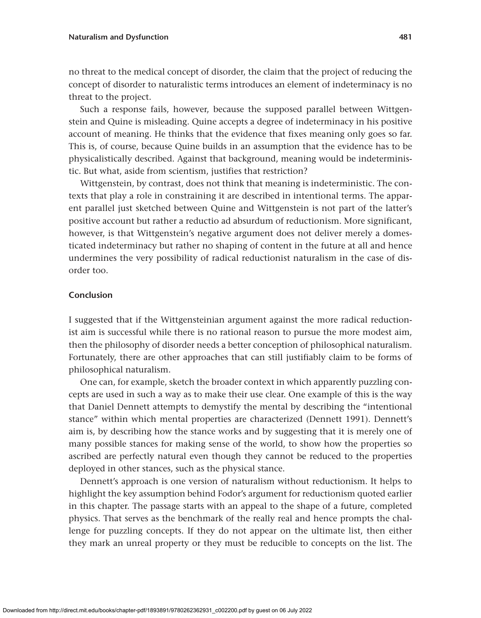no threat to the medical concept of disorder, the claim that the project of reducing the concept of disorder to naturalistic terms introduces an element of indeterminacy is no threat to the project.

Such a response fails, however, because the supposed parallel between Wittgenstein and Quine is misleading. Quine accepts a degree of indeterminacy in his positive account of meaning. He thinks that the evidence that fixes meaning only goes so far. This is, of course, because Quine builds in an assumption that the evidence has to be physicalistically described. Against that background, meaning would be indeterministic. But what, aside from scientism, justifies that restriction?

Wittgenstein, by contrast, does not think that meaning is indeterministic. The contexts that play a role in constraining it are described in intentional terms. The apparent parallel just sketched between Quine and Wittgenstein is not part of the latter's positive account but rather a reductio ad absurdum of reductionism. More significant, however, is that Wittgenstein's negative argument does not deliver merely a domesticated indeterminacy but rather no shaping of content in the future at all and hence undermines the very possibility of radical reductionist naturalism in the case of disorder too.

### **Conclusion**

I suggested that if the Wittgensteinian argument against the more radical reductionist aim is successful while there is no rational reason to pursue the more modest aim, then the philosophy of disorder needs a better conception of philosophical naturalism. Fortunately, there are other approaches that can still justifiably claim to be forms of philosophical naturalism.

One can, for example, sketch the broader context in which apparently puzzling concepts are used in such a way as to make their use clear. One example of this is the way that Daniel Dennett attempts to demystify the mental by describing the "intentional stance" within which mental properties are characterized (Dennett 1991). Dennett's aim is, by describing how the stance works and by suggesting that it is merely one of many possible stances for making sense of the world, to show how the properties so ascribed are perfectly natural even though they cannot be reduced to the properties deployed in other stances, such as the physical stance.

Dennett's approach is one version of naturalism without reductionism. It helps to highlight the key assumption behind Fodor's argument for reductionism quoted earlier in this chapter. The passage starts with an appeal to the shape of a future, completed physics. That serves as the benchmark of the really real and hence prompts the challenge for puzzling concepts. If they do not appear on the ultimate list, then either they mark an unreal property or they must be reducible to concepts on the list. The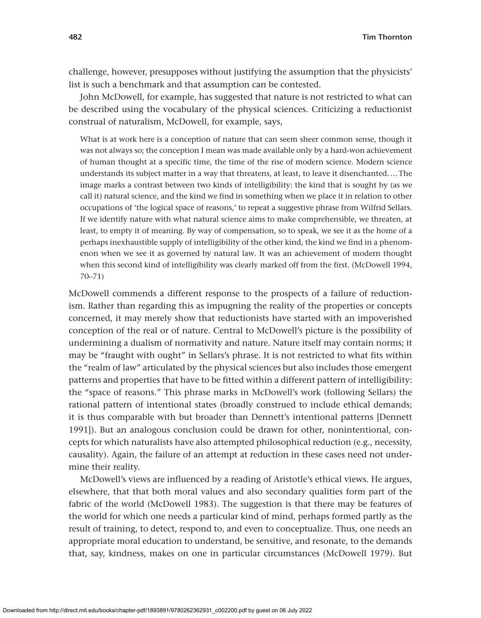challenge, however, presupposes without justifying the assumption that the physicists' list is such a benchmark and that assumption can be contested.

John McDowell, for example, has suggested that nature is not restricted to what can be described using the vocabulary of the physical sciences. Criticizing a reductionist construal of naturalism, McDowell, for example, says,

What is at work here is a conception of nature that can seem sheer common sense, though it was not always so; the conception I mean was made available only by a hard-won achievement of human thought at a specific time, the time of the rise of modern science. Modern science understands its subject matter in a way that threatens, at least, to leave it disenchanted.…The image marks a contrast between two kinds of intelligibility: the kind that is sought by (as we call it) natural science, and the kind we find in something when we place it in relation to other occupations of 'the logical space of reasons,' to repeat a suggestive phrase from Wilfrid Sellars. If we identify nature with what natural science aims to make comprehensible, we threaten, at least, to empty it of meaning. By way of compensation, so to speak, we see it as the home of a perhaps inexhaustible supply of intelligibility of the other kind, the kind we find in a phenomenon when we see it as governed by natural law. It was an achievement of modern thought when this second kind of intelligibility was clearly marked off from the first. (McDowell 1994, 70–71)

McDowell commends a different response to the prospects of a failure of reductionism. Rather than regarding this as impugning the reality of the properties or concepts concerned, it may merely show that reductionists have started with an impoverished conception of the real or of nature. Central to McDowell's picture is the possibility of undermining a dualism of normativity and nature. Nature itself may contain norms; it may be "fraught with ought" in Sellars's phrase. It is not restricted to what fits within the "realm of law" articulated by the physical sciences but also includes those emergent patterns and properties that have to be fitted within a different pattern of intelligibility: the "space of reasons." This phrase marks in McDowell's work (following Sellars) the rational pattern of intentional states (broadly construed to include ethical demands; it is thus comparable with but broader than Dennett's intentional patterns [Dennett 1991]). But an analogous conclusion could be drawn for other, nonintentional, concepts for which naturalists have also attempted philosophical reduction (e.g., necessity, causality). Again, the failure of an attempt at reduction in these cases need not undermine their reality.

McDowell's views are influenced by a reading of Aristotle's ethical views. He argues, elsewhere, that that both moral values and also secondary qualities form part of the fabric of the world (McDowell 1983). The suggestion is that there may be features of the world for which one needs a particular kind of mind, perhaps formed partly as the result of training, to detect, respond to, and even to conceptualize. Thus, one needs an appropriate moral education to understand, be sensitive, and resonate, to the demands that, say, kindness, makes on one in particular circumstances (McDowell 1979). But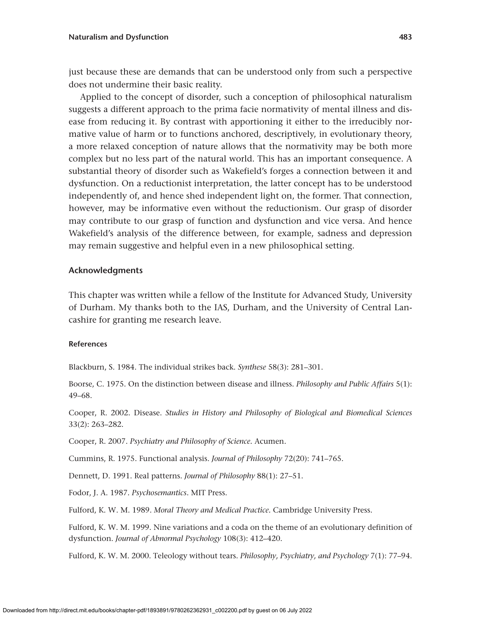just because these are demands that can be understood only from such a perspective does not undermine their basic reality.

Applied to the concept of disorder, such a conception of philosophical naturalism suggests a different approach to the prima facie normativity of mental illness and disease from reducing it. By contrast with apportioning it either to the irreducibly normative value of harm or to functions anchored, descriptively, in evolutionary theory, a more relaxed conception of nature allows that the normativity may be both more complex but no less part of the natural world. This has an important consequence. A substantial theory of disorder such as Wakefield's forges a connection between it and dysfunction. On a reductionist interpretation, the latter concept has to be understood independently of, and hence shed independent light on, the former. That connection, however, may be informative even without the reductionism. Our grasp of disorder may contribute to our grasp of function and dysfunction and vice versa. And hence Wakefield's analysis of the difference between, for example, sadness and depression may remain suggestive and helpful even in a new philosophical setting.

#### **Acknowledgments**

This chapter was written while a fellow of the Institute for Advanced Study, University of Durham. My thanks both to the IAS, Durham, and the University of Central Lancashire for granting me research leave.

#### **References**

Blackburn, S. 1984. The individual strikes back. *Synthese* 58(3): 281–301.

Boorse, C. 1975. On the distinction between disease and illness. *Philosophy and Public Affairs* 5(1): 49–68.

Cooper, R. 2002. Disease. *Studies in History and Philosophy of Biological and Biomedical Sciences* 33(2): 263–282.

Cooper, R. 2007. *Psychiatry and Philosophy of Science.* Acumen.

Cummins, R. 1975. Functional analysis. *Journal of Philosophy* 72(20): 741–765.

Dennett, D. 1991. Real patterns. *Journal of Philosophy* 88(1): 27–51.

Fodor, J. A. 1987. *Psychosemantics*. MIT Press.

Fulford, K. W. M. 1989. *Moral Theory and Medical Practice.* Cambridge University Press.

Fulford, K. W. M. 1999. Nine variations and a coda on the theme of an evolutionary definition of dysfunction. *Journal of Abnormal Psychology* 108(3): 412–420.

Fulford, K. W. M. 2000. Teleology without tears. *Philosophy, Psychiatry, and Psychology* 7(1): 77–94.